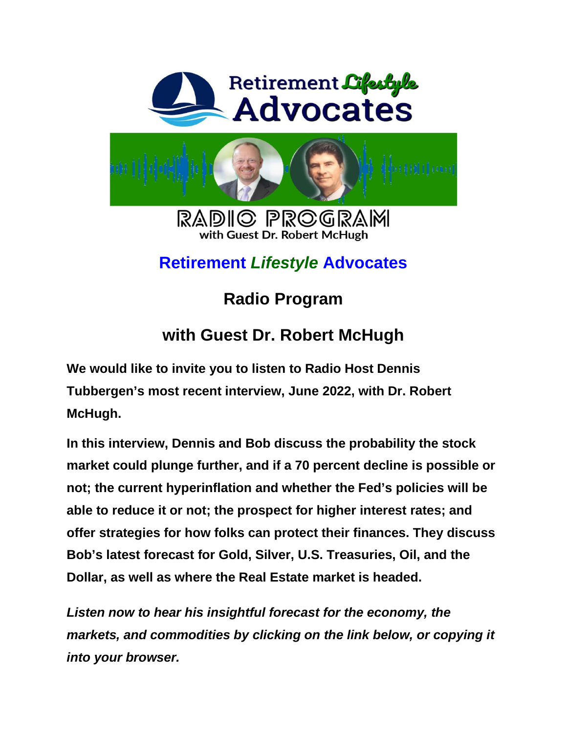



RADIO PROGRAM with Guest Dr. Robert McHugh

## **Retirement** *Lifestyle* **Advocates**

## **Radio Program**

## **with Guest Dr. Robert McHugh**

**We would like to invite you to listen to Radio Host Dennis Tubbergen's most recent interview, June 2022, with Dr. Robert McHugh.** 

**In this interview, Dennis and Bob discuss the probability the stock market could plunge further, and if a 70 percent decline is possible or not; the current hyperinflation and whether the Fed's policies will be able to reduce it or not; the prospect for higher interest rates; and offer strategies for how folks can protect their finances. They discuss Bob's latest forecast for Gold, Silver, U.S. Treasuries, Oil, and the Dollar, as well as where the Real Estate market is headed.** 

*Listen now to hear his insightful forecast for the economy, the markets, and commodities by clicking on the link below, or copying it into your browser.*